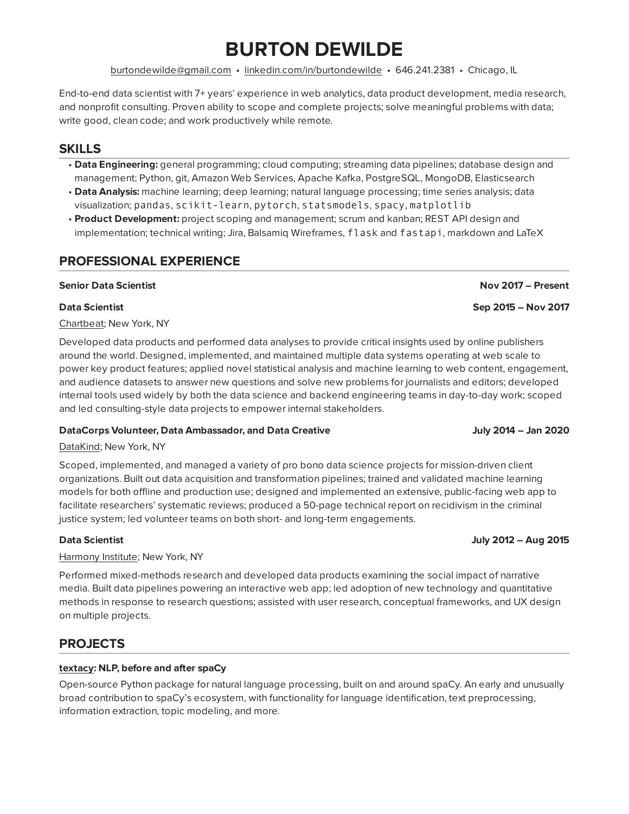# **BURTON DEWILDE**

[burtondewilde@gmail.com](mailto:burtondewilde@gmail.com) • [linkedin.com/in/burtondewilde](https://www.linkedin.com/in/burtondewilde) • 646.241.2381 • Chicago, IL

End-to-end data scientist with 7+ years' experience in web analytics, data product development, media research, and nonprofit consulting. Proven ability to scope and complete projects; solve meaningful problems with data; write good, clean code; and work productively while remote.

## **SKILLS**

- **Data Engineering:** general programming; cloud computing; streaming data pipelines; database design and management; Python, git, Amazon Web Services, Apache Kafka, PostgreSQL, MongoDB, Elasticsearch
- **Data Analysis:** machine learning; deep learning; natural language processing; time series analysis; data visualization; pandas, scikit-learn, pytorch, statsmodels, spacy, matplotlib
- **Product Development:** project scoping and management; scrum and kanban; REST API design and implementation; technical writing; Jira, Balsamiq Wireframes, flask and fastapi, markdown and LaTeX

# **PROFESSIONAL EXPERIENCE**

### **Senior Data Scientist Nov 2017 – Present**

[Chartbeat;](https://chartbeat.com) New York, NY

Developed data products and performed data analyses to provide critical insights used by online publishers around the world. Designed, implemented, and maintained multiple data systems operating at web scale to power key product features; applied novel statistical analysis and machine learning to web content, engagement, and audience datasets to answer new questions and solve new problems for journalists and editors; developed internal tools used widely by both the data science and backend engineering teams in day-to-day work; scoped and led consulting-style data projects to empower internal stakeholders.

### **DataCorps Volunteer, Data Ambassador, and Data Creative July 2014 – Jan 2020**

### [DataKind;](https://www.datakind.org) New York, NY

Scoped, implemented, and managed a variety of pro bono data science projects for mission-driven client organizations. Built out data acquisition and transformation pipelines; trained and validated machine learning models for both offline and production use; designed and implemented an extensive, public-facing web app to facilitate researchers' systematic reviews; produced a 50-page technical report on recidivism in the criminal justice system; led volunteer teams on both short- and long-term engagements.

### [Harmony Institute](https://harmonylabs.org); New York, NY

Performed mixed-methods research and developed data products examining the social impact of narrative media. Built data pipelines powering an interactive web app; led adoption of new technology and quantitative methods in response to research questions; assisted with user research, conceptual frameworks, and UX design on multiple projects.

# **PROJECTS**

### **[textacy:](https://github.com/chartbeat-labs/textacy) NLP, before and after spaCy**

Open-source Python package for natural language processing, built on and around spaCy. An early and unusually broad contribution to spaCy's ecosystem, with functionality for language identification, text preprocessing, information extraction, topic modeling, and more.

### **Data Scientist July 2012 – Aug 2015**

**Data Scientist Sep 2015 – Nov 2017**